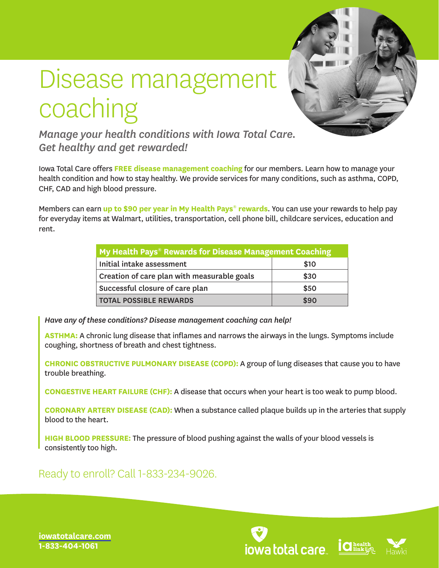

## Disease management coaching

*Manage your health conditions with Iowa Total Care. Get healthy and get rewarded!*

Iowa Total Care offers **FREE disease management coaching** for our members. Learn how to manage your health condition and how to stay healthy. We provide services for many conditions, such as asthma, COPD, CHF, CAD and high blood pressure.

Members can earn **up to \$90 per year in My Health Pays**® **rewards**. You can use your rewards to help pay for everyday items at Walmart, utilities, transportation, cell phone bill, childcare services, education and rent.

| My Health Pays® Rewards for Disease Management Coaching |      |
|---------------------------------------------------------|------|
| Initial intake assessment                               | \$10 |
| Creation of care plan with measurable goals             | \$30 |
| Successful closure of care plan                         | \$50 |
| <b>TOTAL POSSIBLE REWARDS</b>                           | \$90 |

*Have any of these conditions? Disease management coaching can help!* 

**ASTHMA:** A chronic lung disease that inflames and narrows the airways in the lungs. Symptoms include coughing, shortness of breath and chest tightness.

**CHRONIC OBSTRUCTIVE PULMONARY DISEASE (COPD):** A group of lung diseases that cause you to have trouble breathing.

**CONGESTIVE HEART FAILURE (CHF):** A disease that occurs when your heart is too weak to pump blood.

**CORONARY ARTERY DISEASE (CAD):** When a substance called plaque builds up in the arteries that supply blood to the heart.

**HIGH BLOOD PRESSURE:** The pressure of blood pushing against the walls of your blood vessels is consistently too high.

Ready to enroll? Call 1-833-234-9026.





**[iowatotalcare.com](https://www.iowatotalcare.com) 1-833-404-1061**